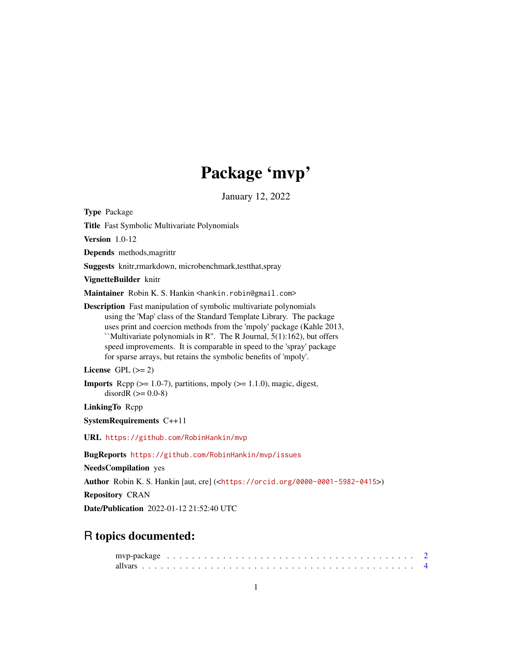# Package 'mvp'

January 12, 2022

Type Package

Title Fast Symbolic Multivariate Polynomials

Version 1.0-12

Depends methods,magrittr

Suggests knitr,rmarkdown, microbenchmark,testthat,spray

VignetteBuilder knitr

Maintainer Robin K. S. Hankin <hankin.robin@gmail.com>

Description Fast manipulation of symbolic multivariate polynomials using the 'Map' class of the Standard Template Library. The package uses print and coercion methods from the 'mpoly' package (Kahle 2013, ``Multivariate polynomials in R''. The R Journal, 5(1):162), but offers speed improvements. It is comparable in speed to the 'spray' package for sparse arrays, but retains the symbolic benefits of 'mpoly'.

License GPL  $(>= 2)$ 

**Imports** Rcpp  $(>= 1.0-7)$ , partitions, mpoly  $(>= 1.1.0)$ , magic, digest, disordR  $(>= 0.0-8)$ 

LinkingTo Rcpp

SystemRequirements C++11

URL <https://github.com/RobinHankin/mvp>

BugReports <https://github.com/RobinHankin/mvp/issues>

NeedsCompilation yes

Author Robin K. S. Hankin [aut, cre] (<<https://orcid.org/0000-0001-5982-0415>>)

Repository CRAN

Date/Publication 2022-01-12 21:52:40 UTC

# R topics documented: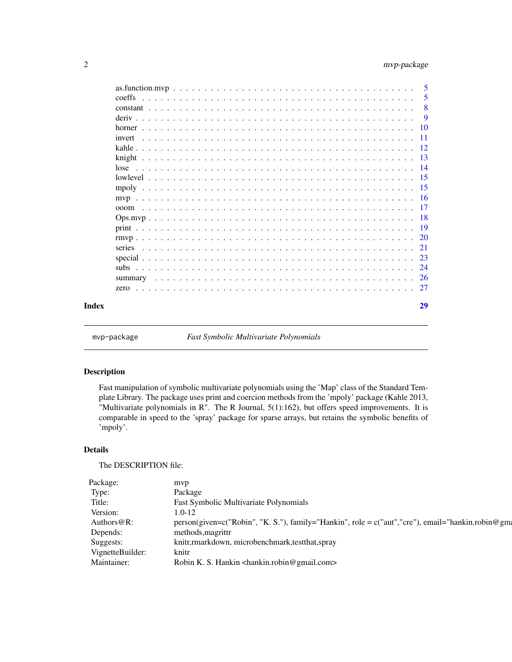<span id="page-1-0"></span>

|       |        | - 5 |
|-------|--------|-----|
|       | coeffs | 5   |
|       |        | 8   |
|       |        | -9  |
|       |        |     |
|       | invert |     |
|       |        |     |
|       |        |     |
|       |        |     |
|       |        |     |
|       |        |     |
|       |        |     |
|       | 000m   |     |
|       |        |     |
|       |        |     |
|       |        |     |
|       |        |     |
|       |        |     |
|       |        |     |
|       |        |     |
|       |        |     |
| Index |        | 29  |

mvp-package *Fast Symbolic Multivariate Polynomials*

# Description

Fast manipulation of symbolic multivariate polynomials using the 'Map' class of the Standard Template Library. The package uses print and coercion methods from the 'mpoly' package (Kahle 2013, "Multivariate polynomials in R". The R Journal, 5(1):162), but offers speed improvements. It is comparable in speed to the 'spray' package for sparse arrays, but retains the symbolic benefits of 'mpoly'.

#### Details

The DESCRIPTION file:

| Package:         | mvp                                                                                                |
|------------------|----------------------------------------------------------------------------------------------------|
| Type:            | Package                                                                                            |
| Title:           | Fast Symbolic Multivariate Polynomials                                                             |
| Version:         | $1.0 - 12$                                                                                         |
| Authors $@R$ :   | person(given=c("Robin", "K. S."), family="Hankin", role = c("aut", "cre"), email="hankin.robin@gm: |
| Depends:         | methods, magrittr                                                                                  |
| Suggests:        | knitr, markdown, microbenchmark, test that, spray                                                  |
| VignetteBuilder: | knitr                                                                                              |
| Maintainer:      | Robin K. S. Hankin <hankin.robin@gmail.com></hankin.robin@gmail.com>                               |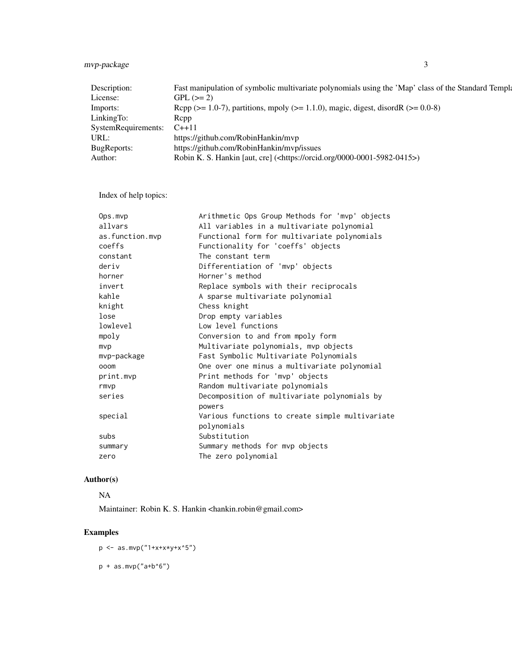# mvp-package 3

| Description:              | Fast manipulation of symbolic multivariate polynomials using the 'Map' class of the Standard Templa |
|---------------------------|-----------------------------------------------------------------------------------------------------|
| License:                  | $GPL (= 2)$                                                                                         |
| Imports:                  | Rcpp ( $>= 1.0$ -7), partitions, mpoly ( $>= 1.1.0$ ), magic, digest, disordR ( $>= 0.0$ -8)        |
| LinkingTo:                | <b>R</b> cpp                                                                                        |
| SystemRequirements: C++11 |                                                                                                     |
| URL:                      | https://github.com/RobinHankin/mvp                                                                  |
| <b>BugReports:</b>        | https://github.com/RobinHankin/myp/issues                                                           |
| Author:                   | Robin K. S. Hankin [aut, cre] ( <https: 0000-0001-5982-0415="" orcid.org="">)</https:>              |

Index of help topics:

| Ops.mvp         | Arithmetic Ops Group Methods for 'mvp' objects  |
|-----------------|-------------------------------------------------|
| allvars         | All variables in a multivariate polynomial      |
| as.function.mvp | Functional form for multivariate polynomials    |
| coeffs          | Functionality for 'coeffs' objects              |
| constant        | The constant term                               |
| deriv           | Differentiation of 'mvp' objects                |
| horner          | Horner's method                                 |
| invert          | Replace symbols with their reciprocals          |
| kahle           | A sparse multivariate polynomial                |
| knight          | Chess knight                                    |
| lose            | Drop empty variables                            |
| lowlevel        | Low level functions                             |
| mpoly           | Conversion to and from mpoly form               |
| mvp             | Multivariate polynomials, mvp objects           |
| mvp-package     | Fast Symbolic Multivariate Polynomials          |
| ooom            | One over one minus a multivariate polynomial    |
| print.mvp       | Print methods for 'mvp' objects                 |
| rmvp            | Random multivariate polynomials                 |
| series          | Decomposition of multivariate polynomials by    |
|                 | powers                                          |
| special         | Various functions to create simple multivariate |
|                 | polynomials                                     |
| subs            | Substitution                                    |
| summary         | Summary methods for mvp objects                 |
| zero            | The zero polynomial                             |
|                 |                                                 |

# Author(s)

# NA

Maintainer: Robin K. S. Hankin <hankin.robin@gmail.com>

# Examples

p <- as.mvp("1+x+x\*y+x^5")  $p + as.mvp("a+b^6")$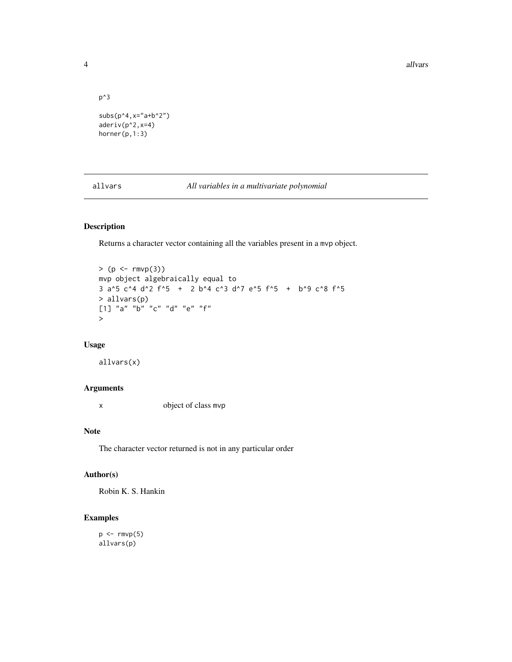4 all vars and the contract of the contract of the contract of the contract of the contract of the contract of the contract of the contract of the contract of the contract of the contract of the contract of the contract of

```
p^3
subs(p^4, x="a+b^2)aderiv(p^2,x=4)
horner(p,1:3)
```
allvars *All variables in a multivariate polynomial*

# Description

Returns a character vector containing all the variables present in a mvp object.

```
> (p \le -r mvp(3))mvp object algebraically equal to
3 a^5 c^4 d^2 f^5 + 2 b^4 c^3 d^7 e^5 f^5 + b^9 c^8 f^5
> allvars(p)
[1] "a" "b" "c" "d" "e" "f"
>
```
### Usage

allvars(x)

# Arguments

x object of class mvp

# Note

The character vector returned is not in any particular order

# Author(s)

Robin K. S. Hankin

# Examples

 $p \leftarrow \text{rmvp}(5)$ allvars(p)

<span id="page-3-0"></span>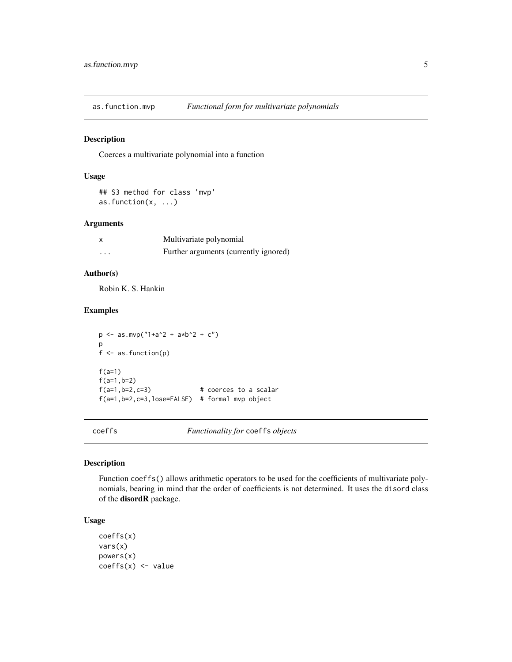<span id="page-4-0"></span>

Coerces a multivariate polynomial into a function

#### Usage

```
## S3 method for class 'mvp'
as.function(x, ...)
```
#### Arguments

|   | Multivariate polynomial               |
|---|---------------------------------------|
| . | Further arguments (currently ignored) |

# Author(s)

Robin K. S. Hankin

#### Examples

 $p \leftarrow as.mvp("1+a^2 + a*b^2 + c")$ p f <- as.function(p)  $f(a=1)$ f(a=1,b=2)  $f(a=1,b=2,c=3)$  # coerces to a scalar f(a=1,b=2,c=3,lose=FALSE) # formal mvp object

coeffs *Functionality for* coeffs *objects*

#### Description

Function coeffs() allows arithmetic operators to be used for the coefficients of multivariate polynomials, bearing in mind that the order of coefficients is not determined. It uses the disord class of the disordR package.

### Usage

```
coeffs(x)
vars(x)
powers(x)
coeffs(x) <- value
```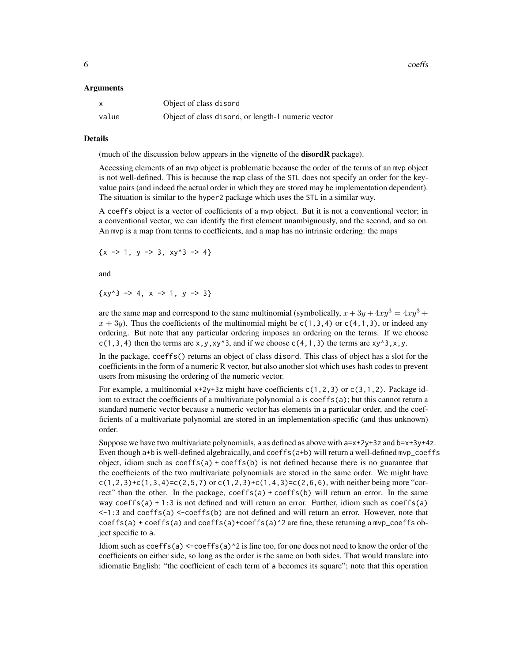6 coeffs control of the coeffs coeffs coeffs coeffs coeffs coeffs coeffs coeffs coeffs coeffs coeffs coeffs coeffs coeffs coeffs coeffs coeffs coeffs coeffs coeffs coeffs coeffs coeffs coeffs coeffs coeffs coeffs coeffs co

#### Arguments

| x     | Object of class disord                             |
|-------|----------------------------------------------------|
| value | Object of class disord, or length-1 numeric vector |

#### Details

(much of the discussion below appears in the vignette of the **disordR** package).

Accessing elements of an mvp object is problematic because the order of the terms of an mvp object is not well-defined. This is because the map class of the STL does not specify an order for the keyvalue pairs (and indeed the actual order in which they are stored may be implementation dependent). The situation is similar to the hyper2 package which uses the STL in a similar way.

A coeffs object is a vector of coefficients of a mvp object. But it is not a conventional vector; in a conventional vector, we can identify the first element unambiguously, and the second, and so on. An mvp is a map from terms to coefficients, and a map has no intrinsic ordering: the maps

 $\{x \rightarrow 1, y \rightarrow 3, xy^3 \rightarrow 4\}$ 

and

 $\{xy^3 - 3 \}$  + 2, x - > 1, y - > 3}

are the same map and correspond to the same multinomial (symbolically,  $x + 3y + 4xy^3 = 4xy^3 +$  $x + 3y$ ). Thus the coefficients of the multinomial might be  $c(1,3,4)$  or  $c(4,1,3)$ , or indeed any ordering. But note that any particular ordering imposes an ordering on the terms. If we choose c(1,3,4) then the terms are  $x, y, xy^3$ , and if we choose c(4,1,3) the terms are  $xy^3$ ,x,y.

In the package, coeffs() returns an object of class disord. This class of object has a slot for the coefficients in the form of a numeric R vector, but also another slot which uses hash codes to prevent users from misusing the ordering of the numeric vector.

For example, a multinomial  $x+2y+3z$  might have coefficients  $c(1,2,3)$  or  $c(3,1,2)$ . Package idiom to extract the coefficients of a multivariate polynomial a is coeffs(a); but this cannot return a standard numeric vector because a numeric vector has elements in a particular order, and the coefficients of a multivariate polynomial are stored in an implementation-specific (and thus unknown) order.

Suppose we have two multivariate polynomials, a as defined as above with  $a=x+2y+3z$  and  $b=x+3y+4z$ . Even though a+b is well-defined algebraically, and coeffs(a+b) will return a well-defined mvp\_coeffs object, idiom such as  $coeffs(a) + coeffs(b)$  is not defined because there is no guarantee that the coefficients of the two multivariate polynomials are stored in the same order. We might have  $c(1,2,3)+c(1,3,4)=c(2,5,7)$  or  $c(1,2,3)+c(1,4,3)=c(2,6,6)$ , with neither being more "correct" than the other. In the package,  $coeffs(a) + coeff(s(b))$  will return an error. In the same way coeffs(a)  $+1:3$  is not defined and will return an error. Further, idiom such as coeffs(a)  $\leq$ -1:3 and coeffs(a)  $\leq$ -coeffs(b) are not defined and will return an error. However, note that  $coeffs(a) + coeffs(a)$  and  $coeffs(a)+coeffs(a)^2$  are fine, these returning a mvp\_coeffs object specific to a.

Idiom such as  $coeffs(a) < -coeffs(a)<sup>2</sup>$  is fine too, for one does not need to know the order of the coefficients on either side, so long as the order is the same on both sides. That would translate into idiomatic English: "the coefficient of each term of a becomes its square"; note that this operation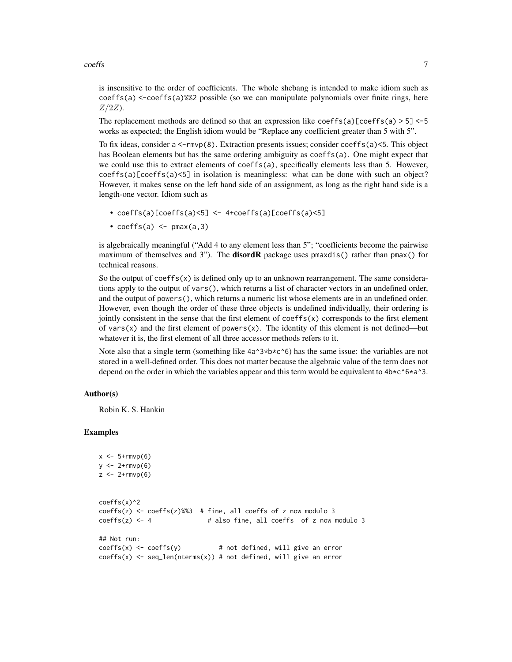$coeffs$  7

is insensitive to the order of coefficients. The whole shebang is intended to make idiom such as  $coeffs(a) < -coeffs(a)$ %2 possible (so we can manipulate polynomials over finite rings, here  $Z/2Z$ ).

The replacement methods are defined so that an expression like coeffs(a)[coeffs(a)  $> 5$ ] <-5 works as expected; the English idiom would be "Replace any coefficient greater than 5 with 5".

To fix ideas, consider a  $\leq$ -rmvp(8). Extraction presents issues; consider coeffs(a) $\leq$ 5. This object has Boolean elements but has the same ordering ambiguity as coeffs(a). One might expect that we could use this to extract elements of coeffs(a), specifically elements less than 5. However,  $coeffs(a)[coeffs(a)<5]$  in isolation is meaningless: what can be done with such an object? However, it makes sense on the left hand side of an assignment, as long as the right hand side is a length-one vector. Idiom such as

- $coeffs(a)[coeffs(a)\leq 5]$  <-  $4+coeffs(a)[coeffs(a)\leq 5]$
- $coeffs(a)$  <-  $pmax(a,3)$

is algebraically meaningful ("Add 4 to any element less than 5"; "coefficients become the pairwise maximum of themselves and 3"). The **disordR** package uses  $p$ maxdis() rather than  $p$ max() for technical reasons.

So the output of coeffs( $x$ ) is defined only up to an unknown rearrangement. The same considerations apply to the output of vars(), which returns a list of character vectors in an undefined order, and the output of powers(), which returns a numeric list whose elements are in an undefined order. However, even though the order of these three objects is undefined individually, their ordering is jointly consistent in the sense that the first element of coeffs(x) corresponds to the first element of vars(x) and the first element of powers(x). The identity of this element is not defined—but whatever it is, the first element of all three accessor methods refers to it.

Note also that a single term (something like  $4a^{\dagger}3*b*c^{\dagger}6$ ) has the same issue: the variables are not stored in a well-defined order. This does not matter because the algebraic value of the term does not depend on the order in which the variables appear and this term would be equivalent to  $4b \star c \uparrow 6 \star a \uparrow 3$ .

#### Author(s)

Robin K. S. Hankin

```
x \le -5+rmvp(6)y \leftarrow 2+rmvp(6)z < -2+rmvp(6)
coeffs(x)^2
coeffs(z) <- coeffs(z)%%3 # fine, all coeffs of z now modulo 3
coeffs(z) \leq 4 # also fine, all coeffs of z now modulo 3
## Not run:
coeffs(x) \leq coeffs(y) # not defined, will give an error
coeffs(x) \leq seq\_len(nterms(x)) # not defined, will give an error
```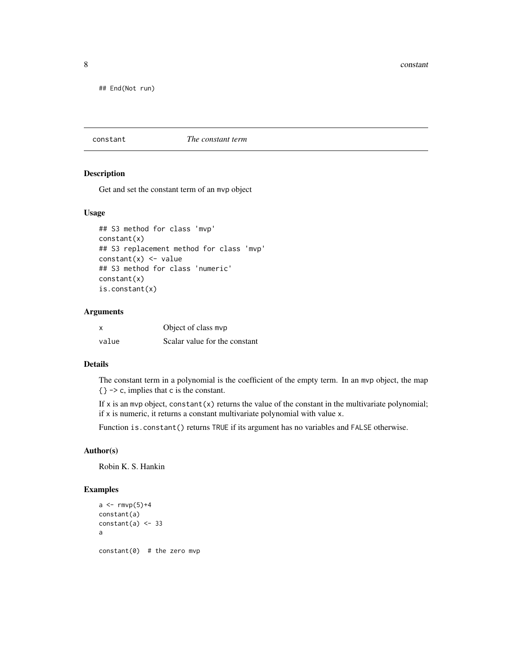<span id="page-7-0"></span>8 constant constant of the constant of the constant of the constant of the constant of the constant of the constant

## End(Not run)

#### <span id="page-7-1"></span>constant *The constant term*

#### Description

Get and set the constant term of an mvp object

#### Usage

```
## S3 method for class 'mvp'
constant(x)
## S3 replacement method for class 'mvp'
constant(x) <- value
## S3 method for class 'numeric'
constant(x)
is.constant(x)
```
# Arguments

| x     | Object of class mvp           |
|-------|-------------------------------|
| value | Scalar value for the constant |

# Details

The constant term in a polynomial is the coefficient of the empty term. In an mvp object, the map {} -> c, implies that c is the constant.

If  $x$  is an mvp object, constant $(x)$  returns the value of the constant in the multivariate polynomial; if x is numeric, it returns a constant multivariate polynomial with value x.

Function is.constant() returns TRUE if its argument has no variables and FALSE otherwise.

# Author(s)

Robin K. S. Hankin

```
a < - rmvp(5)+4constant(a)
constant(a) < -33a
constant(0) # the zero mvp
```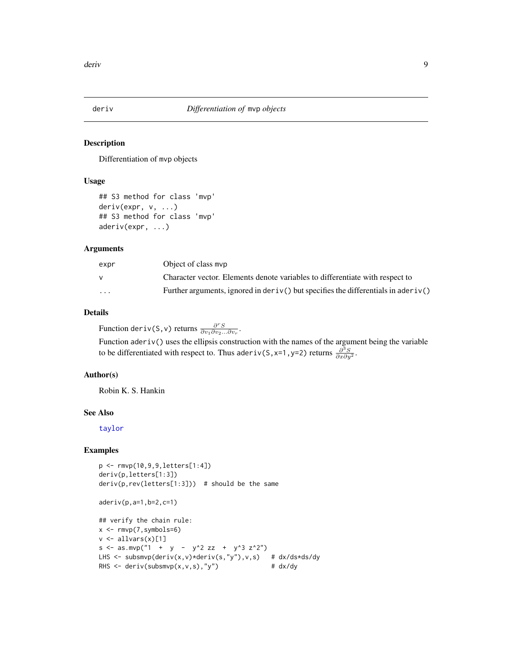<span id="page-8-1"></span><span id="page-8-0"></span>

Differentiation of mvp objects

#### Usage

```
## S3 method for class 'mvp'
deriv(expr, v, ...)
## S3 method for class 'mvp'
aderiv(expr, ...)
```
#### Arguments

| expr                    | Object of class mvp                                                                    |
|-------------------------|----------------------------------------------------------------------------------------|
|                         | Character vector. Elements denote variables to differentiate with respect to           |
| $\cdot$ $\cdot$ $\cdot$ | Further arguments, ignored in $deriv()$ but specifies the differentials in ader $iv()$ |

# Details

Function deriv(S,v) returns  $\frac{\partial^r S}{\partial v_1 \partial v_2 ... \partial v_r}$ .

Function aderiv() uses the ellipsis construction with the names of the argument being the variable to be differentiated with respect to. Thus aderiv(S, x=1, y=2) returns  $\frac{\partial^3 S}{\partial x \partial y^2}$ .

# Author(s)

Robin K. S. Hankin

# See Also

[taylor](#page-20-1)

```
p <- rmvp(10,9,9,letters[1:4])
deriv(p,letters[1:3])
deriv(p,rev(letters[1:3])) # should be the same
aderiv(p,a=1,b=2,c=1)
```

```
## verify the chain rule:
x \leftarrow \text{rmvp}(7, \text{symbols=6})v \leftarrow allvars(x)[1]s \leq -as.mvp("1 + y - y^2 zz + y^3 z^2")LHS <- subsmvp(deriv(x,v)*deriv(s,"y"),v,s) # dx/ds*ds/dy
RHS \leq deriv(subsmvp(x,v,s),"y") # dx/dy
```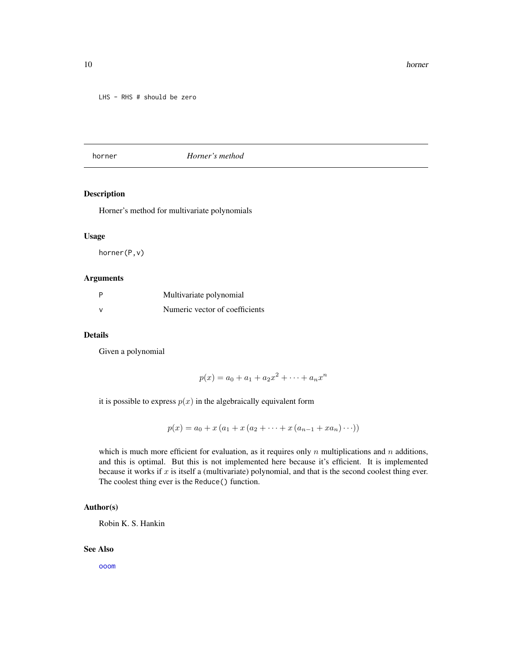<span id="page-9-0"></span>LHS - RHS # should be zero

#### <span id="page-9-1"></span>horner *Horner's method*

# Description

Horner's method for multivariate polynomials

#### Usage

horner(P,v)

#### Arguments

| Multivariate polynomial        |
|--------------------------------|
| Numeric vector of coefficients |

#### Details

Given a polynomial

$$
p(x) = a_0 + a_1 + a_2x^2 + \dots + a_nx^n
$$

it is possible to express  $p(x)$  in the algebraically equivalent form

$$
p(x) = a_0 + x (a_1 + x (a_2 + \dots + x (a_{n-1} + x a_n) \dots))
$$

which is much more efficient for evaluation, as it requires only n multiplications and n additions, and this is optimal. But this is not implemented here because it's efficient. It is implemented because it works if  $x$  is itself a (multivariate) polynomial, and that is the second coolest thing ever. The coolest thing ever is the Reduce() function.

#### Author(s)

Robin K. S. Hankin

#### See Also

[ooom](#page-16-1)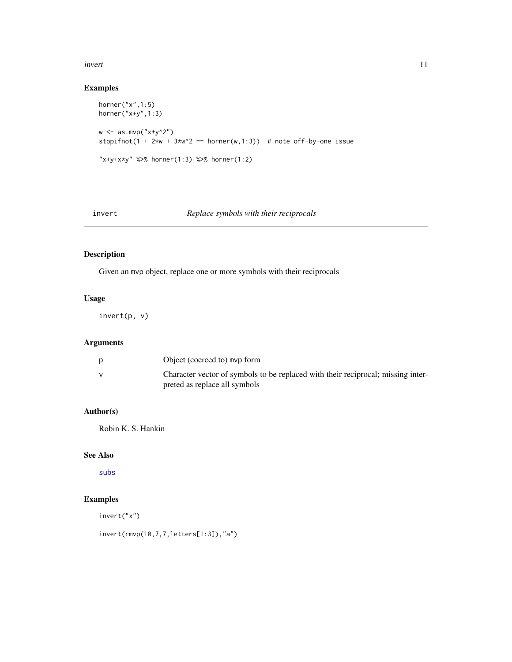#### <span id="page-10-0"></span>invert the contract of the contract of the contract of the contract of the contract of the contract of the contract of the contract of the contract of the contract of the contract of the contract of the contract of the con

# Examples

```
horner("x",1:5)
horner("x+y",1:3)
w \leftarrow as.mvp("x+y^2")stopifnot(1 + 2*w + 3*w^2 == \text{horner}(w,1:3)) # note off-by-one issue
"x+y+x*y" %>% horner(1:3) %>% horner(1:2)
```
# invert *Replace symbols with their reciprocals*

# Description

Given an mvp object, replace one or more symbols with their reciprocals

# Usage

invert(p, v)

# Arguments

| Object (coerced to) mvp form                                                                                      |
|-------------------------------------------------------------------------------------------------------------------|
| Character vector of symbols to be replaced with their reciprocal; missing inter-<br>preted as replace all symbols |

# Author(s)

Robin K. S. Hankin

# See Also

[subs](#page-23-1)

# Examples

invert("x")

invert(rmvp(10,7,7,letters[1:3]),"a")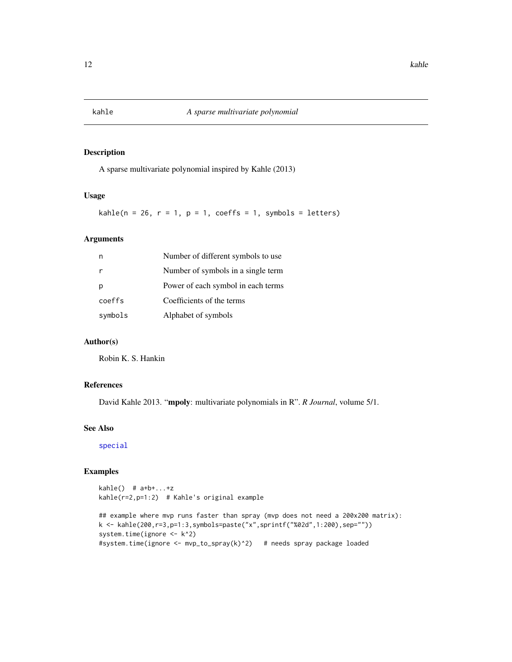<span id="page-11-0"></span>

A sparse multivariate polynomial inspired by Kahle (2013)

#### Usage

kahle( $n = 26$ ,  $r = 1$ ,  $p = 1$ , coeffs = 1, symbols = letters)

# Arguments

|         | Number of different symbols to use |
|---------|------------------------------------|
|         | Number of symbols in a single term |
| р       | Power of each symbol in each terms |
| coeffs  | Coefficients of the terms          |
| symbols | Alphabet of symbols                |

# Author(s)

Robin K. S. Hankin

# References

David Kahle 2013. "mpoly: multivariate polynomials in R". *R Journal*, volume 5/1.

#### See Also

[special](#page-22-1)

#### Examples

 $kahle()$  #  $a+b+...+z$ kahle(r=2,p=1:2) # Kahle's original example

## example where mvp runs faster than spray (mvp does not need a 200x200 matrix): k <- kahle(200,r=3,p=1:3,symbols=paste("x",sprintf("%02d",1:200),sep="")) system.time(ignore <- k^2) #system.time(ignore <- mvp\_to\_spray(k)^2) # needs spray package loaded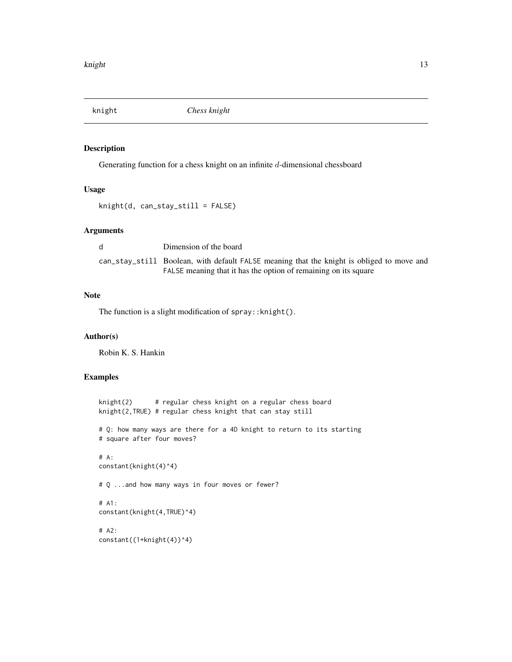<span id="page-12-0"></span>

Generating function for a chess knight on an infinite d-dimensional chessboard

#### Usage

knight(d, can\_stay\_still = FALSE)

#### Arguments

| Dimension of the board                                                                    |
|-------------------------------------------------------------------------------------------|
| can_stay_still Boolean, with default FALSE meaning that the knight is obliged to move and |
| FALSE meaning that it has the option of remaining on its square                           |

# Note

The function is a slight modification of spray::knight().

# Author(s)

Robin K. S. Hankin

```
knight(2) # regular chess knight on a regular chess board
knight(2,TRUE) # regular chess knight that can stay still
# Q: how many ways are there for a 4D knight to return to its starting
# square after four moves?
# A:
constant(knight(4)^4)
# Q ...and how many ways in four moves or fewer?
# A1:
constant(knight(4,TRUE)^4)
# A2:
constant((1+knight(4))^4)
```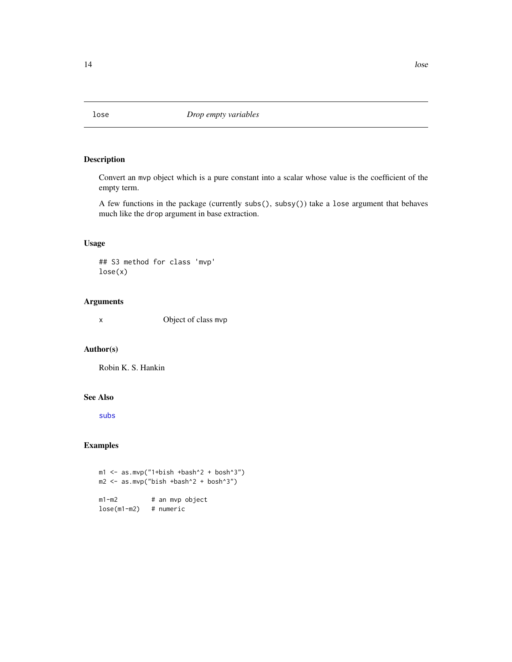Convert an mvp object which is a pure constant into a scalar whose value is the coefficient of the empty term.

A few functions in the package (currently subs(), subsy()) take a lose argument that behaves much like the drop argument in base extraction.

# Usage

## S3 method for class 'mvp' lose(x)

# Arguments

x Object of class mvp

# Author(s)

Robin K. S. Hankin

#### See Also

[subs](#page-23-1)

# Examples

 $ml \le -as.mvp("1+bish +bash^2 + bosh^3")$ m2 <- as.mvp("bish +bash^2 + bosh^3") m1-m2 # an mvp object lose(m1-m2) # numeric

<span id="page-13-1"></span><span id="page-13-0"></span>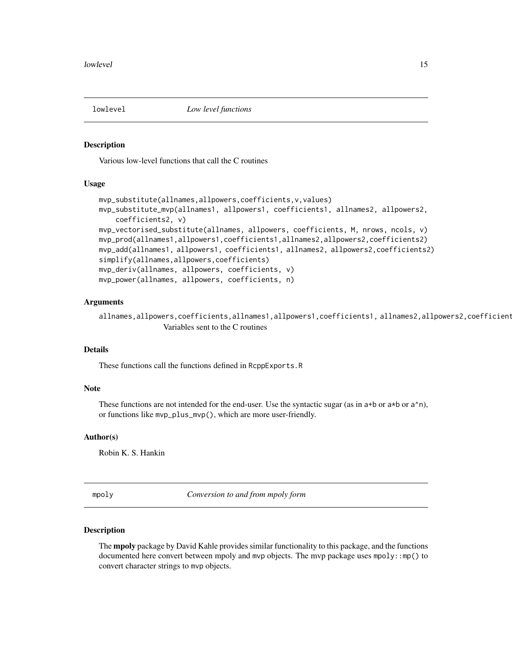<span id="page-14-1"></span><span id="page-14-0"></span>

Various low-level functions that call the C routines

# Usage

```
mvp_substitute(allnames,allpowers,coefficients,v,values)
mvp_substitute_mvp(allnames1, allpowers1, coefficients1, allnames2, allpowers2,
   coefficients2, v)
mvp_vectorised_substitute(allnames, allpowers, coefficients, M, nrows, ncols, v)
mvp_prod(allnames1,allpowers1,coefficients1,allnames2,allpowers2,coefficients2)
mvp_add(allnames1, allpowers1, coefficients1, allnames2, allpowers2,coefficients2)
simplify(allnames,allpowers,coefficients)
mvp_deriv(allnames, allpowers, coefficients, v)
mvp_power(allnames, allpowers, coefficients, n)
```
#### Arguments

allnames,allpowers,coefficients,allnames1,allpowers1,coefficients1, allnames2,allpowers2,coefficient Variables sent to the C routines

# Details

These functions call the functions defined in RcppExports.R

#### Note

These functions are not intended for the end-user. Use the syntactic sugar (as in a+b or a\*b or a^n), or functions like mvp\_plus\_mvp(), which are more user-friendly.

#### Author(s)

Robin K. S. Hankin

mpoly *Conversion to and from mpoly form*

#### Description

The **mpoly** package by David Kahle provides similar functionality to this package, and the functions documented here convert between mpoly and mvp objects. The mvp package uses mpoly::mp() to convert character strings to mvp objects.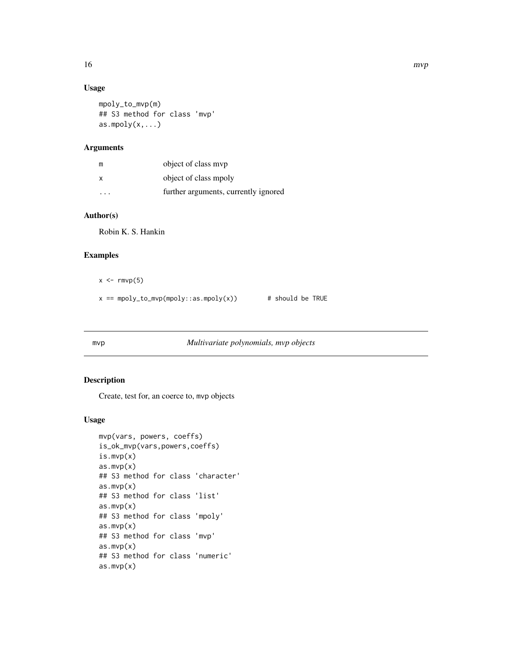# Usage

```
mpoly_to_mvp(m)
## S3 method for class 'mvp'
as.mpoly(x,...)
```
# Arguments

| m                       | object of class myp                  |
|-------------------------|--------------------------------------|
| x                       | object of class mpoly                |
| $\cdot$ $\cdot$ $\cdot$ | further arguments, currently ignored |

# Author(s)

Robin K. S. Hankin

# Examples

- $x \leq -\text{rmvp}(5)$
- $x == \text{mpoly_to_mvp(mpoly::as.mpoly(x))}$  # should be TRUE

# mvp *Multivariate polynomials, mvp objects*

# Description

Create, test for, an coerce to, mvp objects

#### Usage

```
mvp(vars, powers, coeffs)
is_ok_mvp(vars,powers,coeffs)
is.mvp(x)
as.mvp(x)
## S3 method for class 'character'
as.mvp(x)
## S3 method for class 'list'
as.mvp(x)
## S3 method for class 'mpoly'
as.mvp(x)## S3 method for class 'mvp'
as.mvp(x)
## S3 method for class 'numeric'
as.mvp(x)
```
<span id="page-15-0"></span>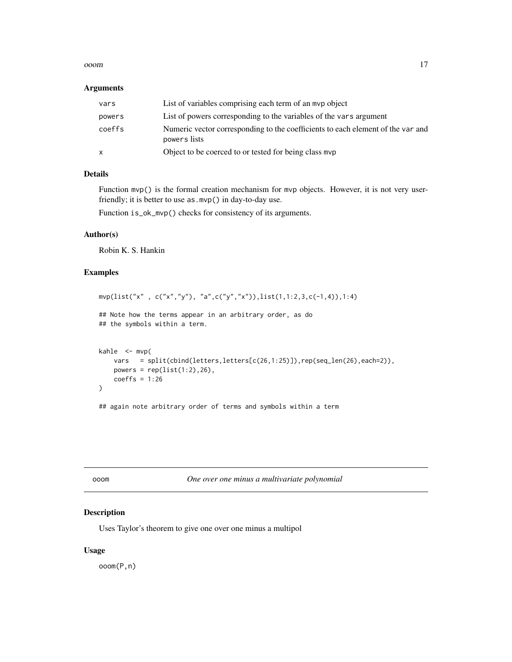#### <span id="page-16-0"></span>ooom 17

#### Arguments

| vars   | List of variables comprising each term of an myp object                                         |
|--------|-------------------------------------------------------------------------------------------------|
| powers | List of powers corresponding to the variables of the vars argument                              |
| coeffs | Numeric vector corresponding to the coefficients to each element of the var and<br>powers lists |
| X      | Object to be coerced to or tested for being class myp                                           |

# Details

Function mvp() is the formal creation mechanism for mvp objects. However, it is not very userfriendly; it is better to use as.mvp() in day-to-day use.

Function is\_ok\_mvp() checks for consistency of its arguments.

# Author(s)

Robin K. S. Hankin

# Examples

```
mvp(list("x" , c("x","y"), "a",c("y","x")),list(1,1:2,3,c(-1,4)),1:4)
## Note how the terms appear in an arbitrary order, as do
## the symbols within a term.
kahle \leq - mvp(
   vars = split(cbind(letters,letters[c(26,1:25)]),rep(seq_len(26),each=2)),
   powers = rep(list(1:2), 26),coeffs = 1:26)
## again note arbitrary order of terms and symbols within a term
```
<span id="page-16-1"></span>ooom *One over one minus a multivariate polynomial*

# Description

Uses Taylor's theorem to give one over one minus a multipol

#### Usage

ooom(P,n)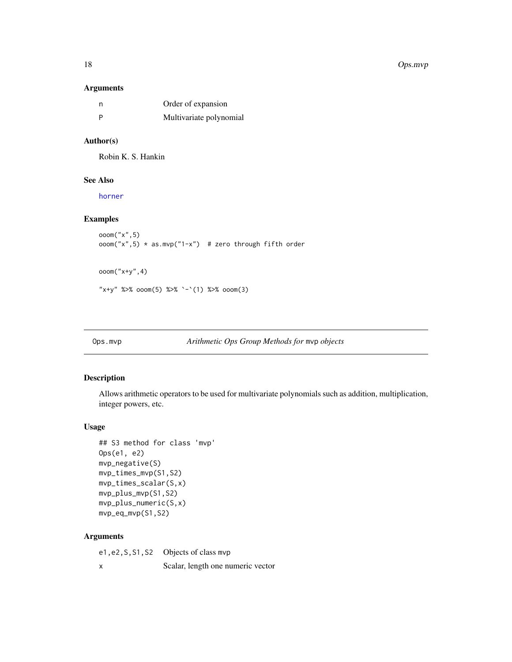# Arguments

| n | Order of expansion      |
|---|-------------------------|
|   | Multivariate polynomial |

# Author(s)

Robin K. S. Hankin

# See Also

[horner](#page-9-1)

# Examples

```
ooom("x",5)
room("x", 5) * as.mvp("1-x") # zero through fifth orderooom("x+y",4)
```
"x+y" %>% ooom(5) %>% `-`(1) %>% ooom(3)

```
Ops.mvp Arithmetic Ops Group Methods for mvp objects
```
# Description

Allows arithmetic operators to be used for multivariate polynomials such as addition, multiplication, integer powers, etc.

# Usage

```
## S3 method for class 'mvp'
Ops(e1, e2)
mvp_negative(S)
mvp_times_mvp(S1,S2)
mvp_times_scalar(S,x)
mvp_plus_mvp(S1,S2)
mvp_plus_numeric(S,x)
mvp_eq_mvp(S1,S2)
```
# Arguments

| e1, e2, S, S1, S2 Objects of class mvp |
|----------------------------------------|
| Scalar, length one numeric vector      |

<span id="page-17-0"></span>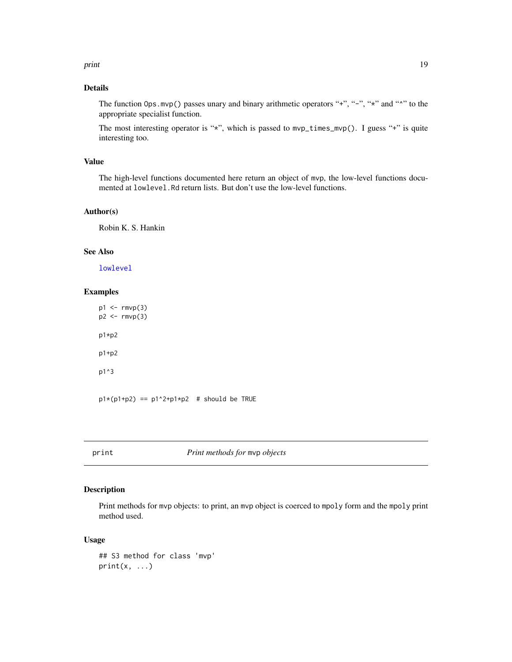<span id="page-18-0"></span>print the contract of the contract of the contract of the contract of the contract of the contract of the contract of the contract of the contract of the contract of the contract of the contract of the contract of the cont

# Details

The function Ops.mvp() passes unary and binary arithmetic operators "+", "-", "\*" and "^" to the appropriate specialist function.

The most interesting operator is "\*", which is passed to mvp\_times\_mvp(). I guess "+" is quite interesting too.

# Value

The high-level functions documented here return an object of mvp, the low-level functions documented at lowlevel.Rd return lists. But don't use the low-level functions.

# Author(s)

Robin K. S. Hankin

#### See Also

[lowlevel](#page-14-1)

# Examples

 $p1 \leftarrow rmvp(3)$ p2 <- rmvp(3) p1\*p2 p1+p2 p1^3  $p1*(p1+p2) == p1'2+p1*p2 # should be TRUE$ 

print *Print methods for* mvp *objects*

#### Description

Print methods for mvp objects: to print, an mvp object is coerced to mpoly form and the mpoly print method used.

#### Usage

```
## S3 method for class 'mvp'
print(x, \ldots)
```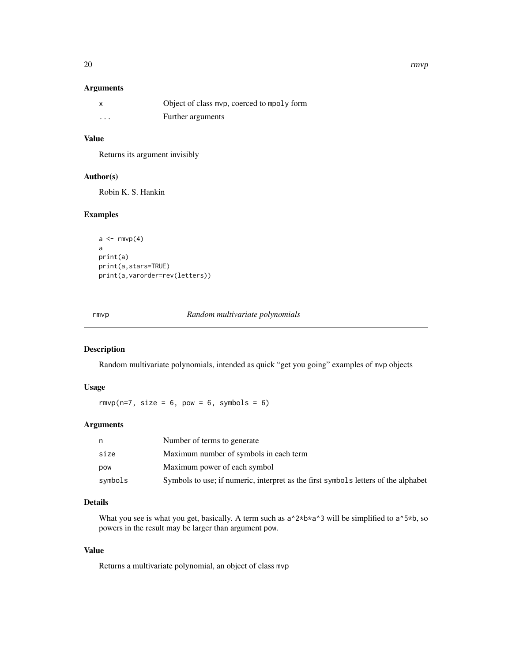# <span id="page-19-0"></span>Arguments

|                         | Object of class mvp, coerced to mpoly form |
|-------------------------|--------------------------------------------|
| $\cdot$ $\cdot$ $\cdot$ | Further arguments                          |

# Value

Returns its argument invisibly

# Author(s)

Robin K. S. Hankin

# Examples

```
a \leftarrow \text{rmvp}(4)a
print(a)
print(a,stars=TRUE)
print(a,varorder=rev(letters))
```
rmvp *Random multivariate polynomials*

# Description

Random multivariate polynomials, intended as quick "get you going" examples of mvp objects

# Usage

rmvp( $n=7$ , size = 6, pow = 6, symbols = 6)

# Arguments

| n          | Number of terms to generate                                                        |
|------------|------------------------------------------------------------------------------------|
| size       | Maximum number of symbols in each term                                             |
| <b>DOW</b> | Maximum power of each symbol                                                       |
| symbols    | Symbols to use; if numeric, interpret as the first symbols letters of the alphabet |

# Details

What you see is what you get, basically. A term such as  $a^2 \times b^* a^3$  will be simplified to  $a^2 \times b$ , so powers in the result may be larger than argument pow.

# Value

Returns a multivariate polynomial, an object of class mvp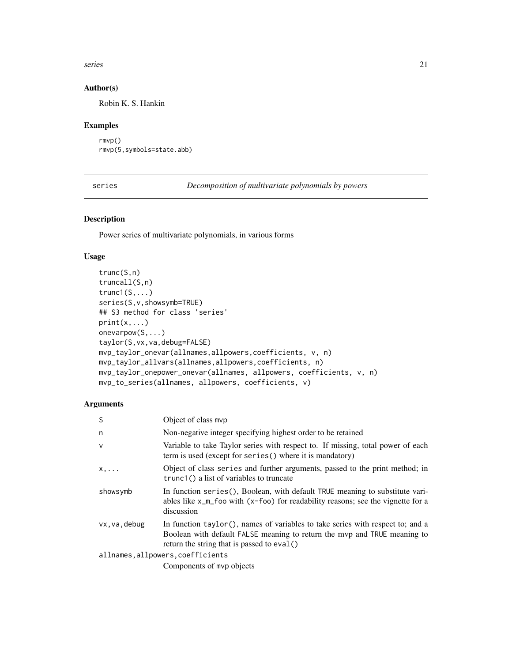#### <span id="page-20-0"></span>series 21

# Author(s)

Robin K. S. Hankin

# Examples

```
rmvp()
rmvp(5,symbols=state.abb)
```
series *Decomposition of multivariate polynomials by powers*

# <span id="page-20-1"></span>Description

Power series of multivariate polynomials, in various forms

### Usage

```
trunc(S,n)
truncall(S,n)
trunc1(S,...)series(S,v,showsymb=TRUE)
## S3 method for class 'series'
print(x, \ldots)onevarpow(S,...)
taylor(S,vx,va,debug=FALSE)
mvp_taylor_onevar(allnames,allpowers,coefficients, v, n)
mvp_taylor_allvars(allnames,allpowers,coefficients, n)
mvp_taylor_onepower_onevar(allnames, allpowers, coefficients, v, n)
mvp_to_series(allnames, allpowers, coefficients, v)
```
# Arguments

| S            | Object of class mvp                                                                                                                                                                                          |
|--------------|--------------------------------------------------------------------------------------------------------------------------------------------------------------------------------------------------------------|
| n            | Non-negative integer specifying highest order to be retained                                                                                                                                                 |
| $\mathsf{V}$ | Variable to take Taylor series with respect to. If missing, total power of each<br>term is used (except for series() where it is mandatory)                                                                  |
| $X, \ldots$  | Object of class series and further arguments, passed to the print method; in<br>trunc1() a list of variables to truncate                                                                                     |
| showsymb     | In function series (), Boolean, with default TRUE meaning to substitute vari-<br>ables like $x_{\text{m}}$ foo with $(x - f \circ \circ)$ for readability reasons; see the vignette for a<br>discussion      |
| vx.va.debug  | In function $taylor()$ , names of variables to take series with respect to; and a<br>Boolean with default FALSE meaning to return the myp and TRUE meaning to<br>return the string that is passed to eval () |
|              | allnames, allpowers, coefficients                                                                                                                                                                            |
|              |                                                                                                                                                                                                              |

Components of mvp objects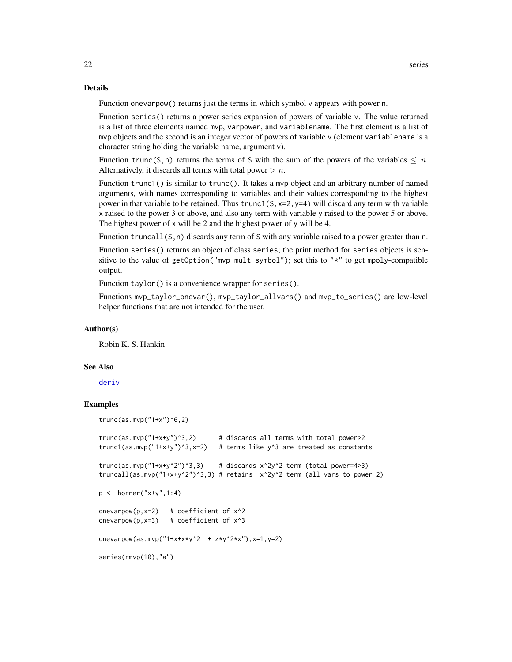#### <span id="page-21-0"></span>Details

Function onevarpow() returns just the terms in which symbol v appears with power n.

Function series() returns a power series expansion of powers of variable v. The value returned is a list of three elements named mvp, varpower, and variablename. The first element is a list of mvp objects and the second is an integer vector of powers of variable v (element variablename is a character string holding the variable name, argument v).

Function trunc(S,n) returns the terms of S with the sum of the powers of the variables  $\leq n$ . Alternatively, it discards all terms with total power  $> n$ .

Function trunc1() is similar to trunc(). It takes a mvp object and an arbitrary number of named arguments, with names corresponding to variables and their values corresponding to the highest power in that variable to be retained. Thus trunc1( $S$ ,  $x=2$ ,  $y=4$ ) will discard any term with variable x raised to the power 3 or above, and also any term with variable y raised to the power 5 or above. The highest power of x will be 2 and the highest power of y will be 4.

Function truncall $(S, n)$  discards any term of S with any variable raised to a power greater than n.

Function series() returns an object of class series; the print method for series objects is sensitive to the value of getOption("mvp\_mult\_symbol"); set this to "\*" to get mpoly-compatible output.

Function taylor() is a convenience wrapper for series().

Functions mvp\_taylor\_onevar(), mvp\_taylor\_allvars() and mvp\_to\_series() are low-level helper functions that are not intended for the user.

#### Author(s)

Robin K. S. Hankin

#### See Also

[deriv](#page-8-1)

```
trunc(as.mvp("1+x")^6,2)
```

```
trunc(as.mvp("1+x+y")^3,2) # discards all terms with total power>2
trunc1(as.mvp("1+x+y'')^3,x=2) # terms like y^3 are treated as constants
trunc(as.mvp("1+x+y^2")^3,3) # discards x^2y^2 term (total power=4>3)
truncall(as.mvp("1+x+y^2")^3,3) # retains x^2y^2 term (all vars to power 2)
p \le - \text{horner}("x+y", 1:4)onevarpow(p, x=2) # coefficient of x^2onevarpow(p, x=3) # coefficient of x^3onevarpow(as.mvp("1+x+x+y^2 + z*y^2*x"), x=1, y=2)
series(rmvp(10),"a")
```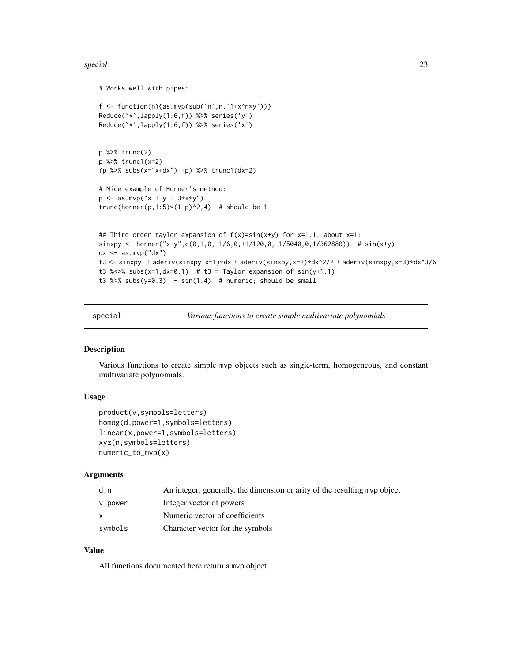#### <span id="page-22-0"></span>special 23

```
# Works well with pipes:
f \leq function(n){as.mvp(sub('n',n,'1+x^n*y'))}
Reduce(`*`,lapply(1:6,f)) %>% series('y')
Reduce(`*`,lapply(1:6,f)) %>% series('x')
p %>% trunc(2)
p %>% trunc1(x=2)
(p %>% subs(x="x+dx") -p) %>% trunc1(dx=2)
# Nice example of Horner's method:
p \le -as.mvp("x + y + 3*x*y")trunc(horner(p,1:5)*(1-p)^2,4) # should be 1
## Third order taylor expansion of f(x)=sin(x+y) for x=1.1, about x=1:
sinxpy <- horner("x+y",c(0,1,0,-1/6,0,+1/120,0,-1/5040,0,1/362880)) # sin(x+y)dx \leq -as.mvp("dx")t3 <- sinxpy + aderiv(sinxpy,x=1)*dx + aderiv(sinxpy,x=2)*dx^2/2 + aderiv(sinxpy,x=3)*dx^3/6
t3 %\ll subs(x=1,dx=0.1) # t3 = Taylor expansion of sin(y+1.1)
t3 %>% subs(y=0.3) - sin(1.4) # numeric; should be small
```
special *Various functions to create simple multivariate polynomials*

# Description

Various functions to create simple mvp objects such as single-term, homogeneous, and constant multivariate polynomials.

#### Usage

```
product(v,symbols=letters)
homog(d,power=1,symbols=letters)
linear(x,power=1,symbols=letters)
xyz(n,symbols=letters)
numeric_to_mvp(x)
```
#### Arguments

| d.n          | An integer; generally, the dimension or arity of the resulting myp object |
|--------------|---------------------------------------------------------------------------|
| v,power      | Integer vector of powers                                                  |
| $\mathsf{x}$ | Numeric vector of coefficients                                            |
| symbols      | Character vector for the symbols                                          |

#### Value

All functions documented here return a mvp object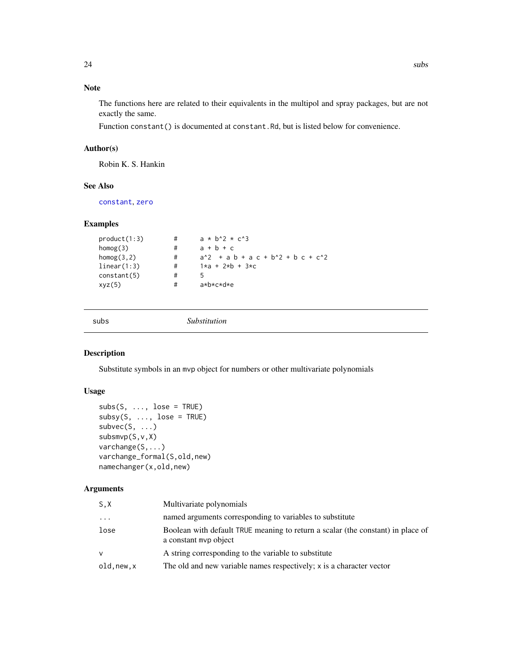# <span id="page-23-0"></span>Note

The functions here are related to their equivalents in the multipol and spray packages, but are not exactly the same.

Function constant() is documented at constant.Rd, but is listed below for convenience.

# Author(s)

Robin K. S. Hankin

# See Also

[constant](#page-7-1), [zero](#page-26-1)

#### Examples

```
product(1:3) \qquad \qquad \qquad \qquad \qquad \qquad \qquad \qquad \qquad \qquad \qquad \qquad \qquad \qquad \qquad \qquad \qquad \qquad \qquad \qquad \qquad \qquad \qquad \qquad \qquad \qquad \qquad \qquad \qquad \qquad \qquad \qquad \qquad \qquad \qquadhomog(3) #<br>
homog(3,2) #
homog(3,2) # a^2 + a b + a c + b^2 + b c + c^2<br>1inear(1:3) # 1*a + 2*b + 3*clinear(1:3) # 1*a + 2*b + 3*c<br>constant(5) # 5
constant(5) # 5
xyz(5) # a*b*c*d*e
```
<span id="page-23-1"></span>

subs *Substitution*

# Description

Substitute symbols in an mvp object for numbers or other multivariate polynomials

# Usage

```
subs(S, ..., \text{lose} = \text{TRUE})subsy(S, ..., lose = TRUE)subvec(S, ...)
subsmvp(S,v,X)
varchange(S,...)
varchange_formal(S,old,new)
namechanger(x,old,new)
```
#### Arguments

| named arguments corresponding to variables to substitute<br>$\cdot$                                              |  |
|------------------------------------------------------------------------------------------------------------------|--|
|                                                                                                                  |  |
| Boolean with default TRUE meaning to return a scalar (the constant) in place of<br>lose<br>a constant myp object |  |
| A string corresponding to the variable to substitute<br>$\mathsf{v}$                                             |  |
| The old and new variable names respectively; x is a character vector<br>old.new.x                                |  |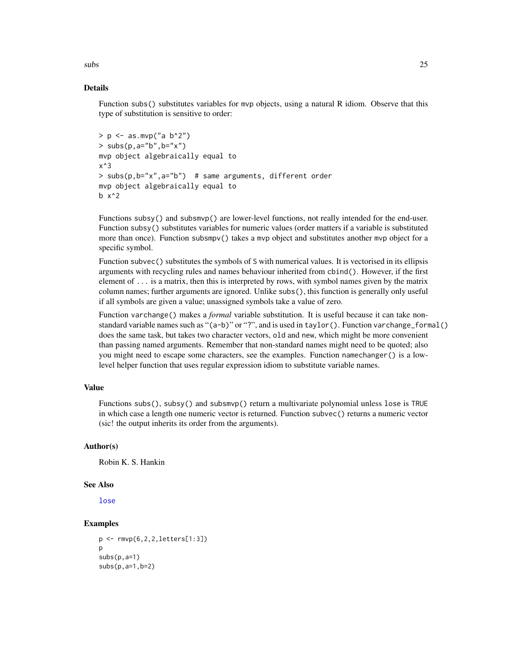<span id="page-24-0"></span> $\mathbf{s}$ ubs  $\mathbf{s}$ 

#### Details

Function subs() substitutes variables for mvp objects, using a natural R idiom. Observe that this type of substitution is sensitive to order:

```
> p \le -as.mvp("a b^2")> subs(p, a="b", b="x")
mvp object algebraically equal to
x^3
> subs(p,b="x",a="b") # same arguments, different order
mvp object algebraically equal to
b x^2
```
Functions subsy() and subsmvp() are lower-level functions, not really intended for the end-user. Function subsy() substitutes variables for numeric values (order matters if a variable is substituted more than once). Function subsmpv() takes a mvp object and substitutes another mvp object for a specific symbol.

Function subvec() substitutes the symbols of S with numerical values. It is vectorised in its ellipsis arguments with recycling rules and names behaviour inherited from cbind(). However, if the first element of  $\dots$  is a matrix, then this is interpreted by rows, with symbol names given by the matrix column names; further arguments are ignored. Unlike subs(), this function is generally only useful if all symbols are given a value; unassigned symbols take a value of zero.

Function varchange() makes a *formal* variable substitution. It is useful because it can take nonstandard variable names such as "(a-b)" or "?", and is used in taylor(). Function varchange\_formal() does the same task, but takes two character vectors, old and new, which might be more convenient than passing named arguments. Remember that non-standard names might need to be quoted; also you might need to escape some characters, see the examples. Function namechanger() is a lowlevel helper function that uses regular expression idiom to substitute variable names.

# Value

Functions subs(), subsy() and subsmvp() return a multivariate polynomial unless lose is TRUE in which case a length one numeric vector is returned. Function subvec() returns a numeric vector (sic! the output inherits its order from the arguments).

#### Author(s)

Robin K. S. Hankin

#### See Also

[lose](#page-13-1)

```
p <- rmvp(6,2,2,letters[1:3])
p
subs(p, a=1)subs(p,a=1,b=2)
```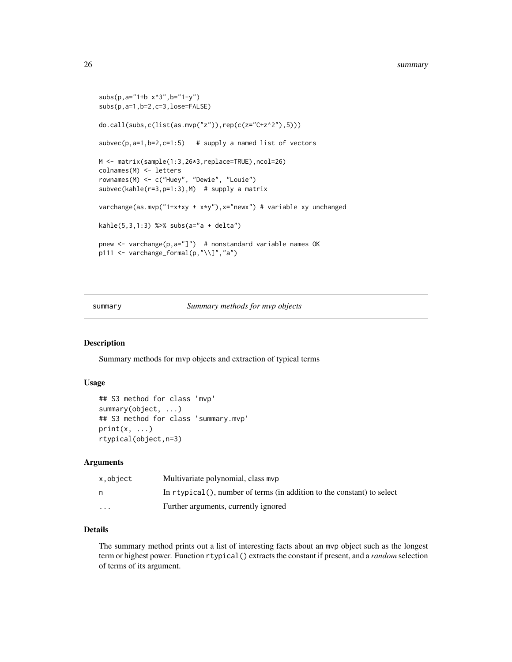```
subs(p,a="1+b x^3",b="1-y")
subs(p,a=1,b=2,c=3,lose=FALSE)
do.call(subs,c(list(as.mvp("z")),rep(c(z="C+z^2"),5)))
subvec(p, a=1, b=2, c=1:5) # supply a named list of vectors
M <- matrix(sample(1:3,26*3,replace=TRUE),ncol=26)
colnames(M) <- letters
rownames(M) <- c("Huey", "Dewie", "Louie")
subvec(kahle(r=3,p=1:3),M) # supply a matrix
varchange(as.mvp("1+x+xy + x*y"),x="newx") # variable xy unchanged
kahle(5,3,1:3) %>% subs(a="a + delta")
pnew <- varchange(p,a="]") # nonstandard variable names OK
p111 <- varchange_formal(p,"\\]","a")
```
#### summary *Summary methods for mvp objects*

#### Description

Summary methods for mvp objects and extraction of typical terms

#### Usage

```
## S3 method for class 'mvp'
summary(object, ...)
## S3 method for class 'summary.mvp'
print(x, \ldots)rtypical(object,n=3)
```
#### Arguments

| x.object | Multivariate polynomial, class myp                                            |
|----------|-------------------------------------------------------------------------------|
| n        | In $r$ typical $()$ , number of terms (in addition to the constant) to select |
| $\cdots$ | Further arguments, currently ignored                                          |

# Details

The summary method prints out a list of interesting facts about an mvp object such as the longest term or highest power. Function rtypical() extracts the constant if present, and a *random* selection of terms of its argument.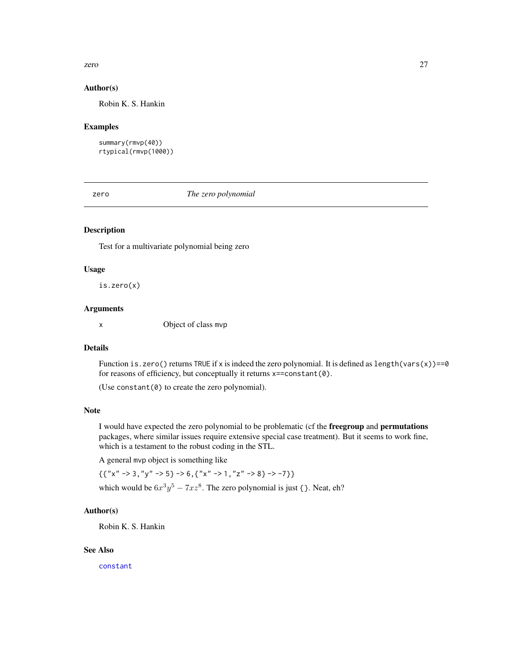#### <span id="page-26-0"></span>zero  $27$

### Author(s)

Robin K. S. Hankin

#### Examples

```
summary(rmvp(40))
rtypical(rmvp(1000))
```
<span id="page-26-1"></span>

zero *The zero polynomial*

# Description

Test for a multivariate polynomial being zero

#### Usage

is.zero(x)

#### Arguments

x Object of class mvp

#### Details

Function is.zero() returns TRUE if x is indeed the zero polynomial. It is defined as length(vars(x))==0 for reasons of efficiency, but conceptually it returns x==constant(0).

(Use constant $(0)$  to create the zero polynomial).

#### Note

I would have expected the zero polynomial to be problematic (cf the freegroup and permutations packages, where similar issues require extensive special case treatment). But it seems to work fine, which is a testament to the robust coding in the STL.

A general mvp object is something like

 $\{ { "x" -> 3, "y" -> 5} \Rightarrow 6, { "x" -> 1, "z" -> 8} \Rightarrow -7}$ 

# which would be  $6x^3y^5 - 7xz^8$ . The zero polynomial is just { }. Neat, eh?

### Author(s)

Robin K. S. Hankin

# See Also

[constant](#page-7-1)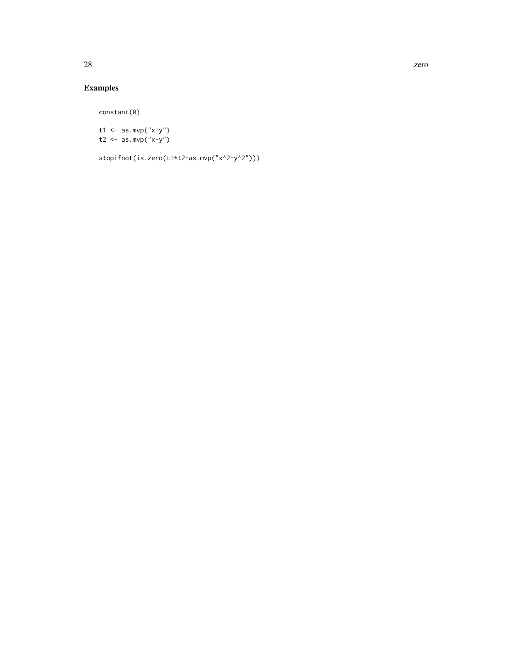# Examples

constant(0)

t1 <-  $as.mvp("x+y")$ t2 <-  $as.mvp("x-y")$ 

stopifnot(is.zero(t1\*t2-as.mvp("x^2-y^2")))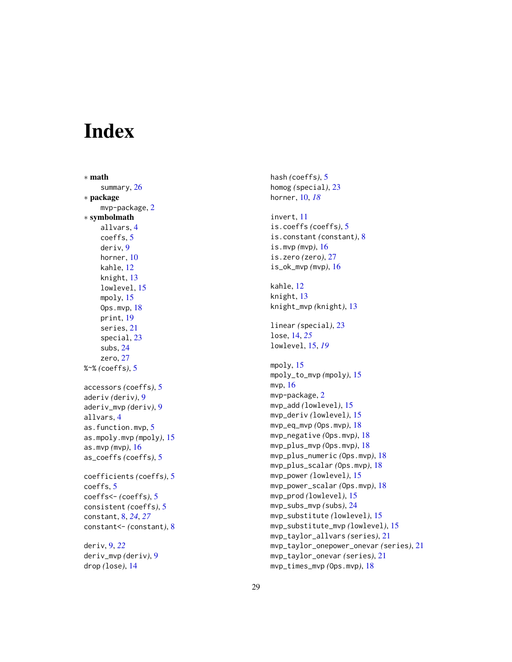# <span id="page-28-0"></span>**Index**

∗ math summary, [26](#page-25-0) ∗ package mvp-package, [2](#page-1-0) ∗ symbolmath allvars , [4](#page-3-0) coeffs , [5](#page-4-0) deriv , [9](#page-8-0) horner, [10](#page-9-0) kahle , [12](#page-11-0) knight , [13](#page-12-0) lowlevel , [15](#page-14-0) mpoly , [15](#page-14-0) Ops.mvp , [18](#page-17-0) print , [19](#page-18-0) series , [21](#page-20-0) special , [23](#page-22-0) subs , [24](#page-23-0) zero , [27](#page-26-0) %~% *(*coeffs *)* , [5](#page-4-0) accessors *(*coeffs *)* , [5](#page-4-0) aderiv *(*deriv *)* , [9](#page-8-0) aderiv\_mvp *(*deriv *)* , [9](#page-8-0) allvars , [4](#page-3-0) as.function.mvp , [5](#page-4-0) as.mpoly.mvp *(*mpoly *)* , [15](#page-14-0) as.mvp *(*mvp *)* , [16](#page-15-0) as\_coeffs *(*coeffs *)* , [5](#page-4-0) coefficients *(*coeffs *)* , [5](#page-4-0) coeffs , [5](#page-4-0) coeffs<- *(*coeffs *)* , [5](#page-4-0) consistent *(*coeffs *)* , [5](#page-4-0) constant , [8](#page-7-0) , *[24](#page-23-0)* , *[27](#page-26-0)* constant<- *(*constant *)* , [8](#page-7-0) deriv , [9](#page-8-0) , *[22](#page-21-0)*

deriv\_mvp *(*deriv *)* , [9](#page-8-0) drop *(*lose *)* , [14](#page-13-0)

hash *(*coeffs *)* , [5](#page-4-0) homog *(*special *)* , [23](#page-22-0) horner , [10](#page-9-0) , *[18](#page-17-0)* invert , [11](#page-10-0) is.coeffs *(*coeffs *)* , [5](#page-4-0) is.constant *(*constant *)* , [8](#page-7-0) is.mvp *(*mvp *)* , [16](#page-15-0) is.zero *(*zero *)* , [27](#page-26-0) is\_ok\_mvp *(*mvp *)* , [16](#page-15-0) kahle , [12](#page-11-0) knight , [13](#page-12-0) knight\_mvp *(*knight *)* , [13](#page-12-0) linear *(*special *)* , [23](#page-22-0) lose , [14](#page-13-0) , *[25](#page-24-0)* lowlevel , [15](#page-14-0) , *[19](#page-18-0)* mpoly , [15](#page-14-0) mpoly\_to\_mvp *(*mpoly *)* , [15](#page-14-0) mvp , [16](#page-15-0) mvp-package, [2](#page-1-0) mvp\_add *(*lowlevel *)* , [15](#page-14-0) mvp\_deriv *(*lowlevel *)* , [15](#page-14-0) mvp\_eq\_mvp *(*Ops.mvp *)* , [18](#page-17-0) mvp\_negative *(*Ops.mvp *)* , [18](#page-17-0) mvp\_plus\_mvp *(*Ops.mvp *)* , [18](#page-17-0) mvp\_plus\_numeric *(*Ops.mvp *)* , [18](#page-17-0) mvp\_plus\_scalar *(*Ops.mvp *)* , [18](#page-17-0) mvp\_power *(*lowlevel *)* , [15](#page-14-0) mvp\_power\_scalar *(*Ops.mvp *)* , [18](#page-17-0) mvp\_prod *(*lowlevel *)* , [15](#page-14-0) mvp\_subs\_mvp(subs), [24](#page-23-0) mvp\_substitute *(*lowlevel *)* , [15](#page-14-0) mvp\_substitute\_mvp *(*lowlevel *)* , [15](#page-14-0) mvp\_taylor\_allvars *(*series *)* , [21](#page-20-0) mvp\_taylor\_onepower\_onevar *(*series *)* , [21](#page-20-0) mvp\_taylor\_onevar *(*series *)* , [21](#page-20-0) mvp\_times\_mvp *(*Ops.mvp *)* , [18](#page-17-0)